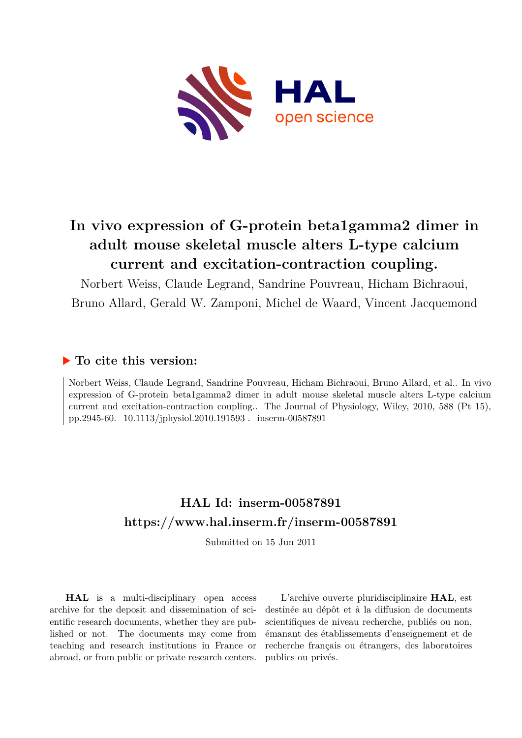

# **In vivo expression of G-protein beta1gamma2 dimer in adult mouse skeletal muscle alters L-type calcium current and excitation-contraction coupling.**

Norbert Weiss, Claude Legrand, Sandrine Pouvreau, Hicham Bichraoui,

Bruno Allard, Gerald W. Zamponi, Michel de Waard, Vincent Jacquemond

# **To cite this version:**

Norbert Weiss, Claude Legrand, Sandrine Pouvreau, Hicham Bichraoui, Bruno Allard, et al.. In vivo expression of G-protein beta1gamma2 dimer in adult mouse skeletal muscle alters L-type calcium current and excitation-contraction coupling.. The Journal of Physiology, Wiley, 2010, 588 (Pt 15), pp.2945-60. 10.1113/jphysiol.2010.191593. inserm-00587891

# **HAL Id: inserm-00587891 <https://www.hal.inserm.fr/inserm-00587891>**

Submitted on 15 Jun 2011

**HAL** is a multi-disciplinary open access archive for the deposit and dissemination of scientific research documents, whether they are published or not. The documents may come from teaching and research institutions in France or abroad, or from public or private research centers.

L'archive ouverte pluridisciplinaire **HAL**, est destinée au dépôt et à la diffusion de documents scientifiques de niveau recherche, publiés ou non, émanant des établissements d'enseignement et de recherche français ou étrangers, des laboratoires publics ou privés.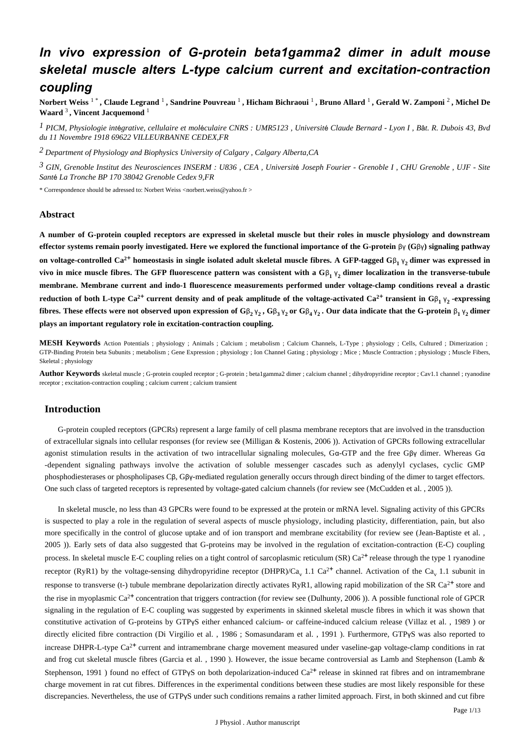# *In vivo expression of G-protein beta1gamma2 dimer in adult mouse skeletal muscle alters L-type calcium current and excitation-contraction coupling*

**Norbert Weiss** 1 \* **, Claude Legrand** 1 **, Sandrine Pouvreau** 1 **, Hicham Bichraoui** 1 **, Bruno Allard** 1 **, Gerald W. Zamponi** 2 **, Michel De Waard** 3 **, Vincent Jacquemond** <sup>1</sup>

<sup>1</sup> PICM, Physiologie intégrative, cellulaire et moléculaire CNRS : UMR5123, Université Claude Bernard - Lyon I, Bât. R. Dubois 43, Bvd *du 11 Novembre 1918 69622 VILLEURBANNE CEDEX,FR*

*Department of Physiology and Biophysics 2 University of Calgary , Calgary Alberta,CA*

*GIN, Grenoble Institut des Neurosciences 3 INSERM : U836 , CEA , Universit Joseph Fourier - Gren* <sup>é</sup> *oble I , CHU Grenoble , UJF - Site* Santé La Tronche BP 170 38042 Grenoble Cedex 9, FR

\* Correspondence should be adressed to: Norbert Weiss <norbert.weiss@yahoo.fr >

# **Abstract**

**A number of G-protein coupled receptors are expressed in skeletal muscle but their roles in muscle physiology and downstream effector systems remain poorly investigated. Here we explored the functional importance of the G-protein βγ (Gβγ) signaling pathway on voltage-controlled Ca<sup>2+</sup> homeostasis in single isolated adult skeletal muscle fibres. A GFP-tagged G** $\beta_1$  $\gamma_2$  **dimer was expressed in vivo in mice muscle fibres. The GFP fluorescence pattern was consistent with a**  $G\beta_1\gamma_2$  **dimer localization in the transverse-tubule membrane. Membrane current and indo-1 fluorescence measurements performed under voltage-clamp conditions reveal a drastic** reduction of both L-type Ca<sup>2+</sup> current density and of peak amplitude of the voltage-activated Ca<sup>2+</sup> transient in G<sub>B<sub>1</sub>  $\gamma$ <sub>2</sub>-expressing</sub> **fibres.** These effects were not observed upon expression of  $G\beta_2 \gamma_2$ ,  $G\beta_3 \gamma_2$  or  $G\beta_4 \gamma_2$ . Our data indicate that the G-protein  $\beta_1 \gamma_2$  dimer **plays an important regulatory role in excitation-contraction coupling.**

**MESH Keywords** Action Potentials ; physiology ; Animals ; Calcium ; metabolism ; Calcium Channels, L-Type ; physiology ; Cells, Cultured ; Dimerization ; GTP-Binding Protein beta Subunits ; metabolism ; Gene Expression ; physiology ; Ion Channel Gating ; physiology ; Mice ; Muscle Contraction ; physiology ; Muscle Fibers, Skeletal ; physiology

Author Keywords skeletal muscle ; G-protein coupled receptor ; G-protein ; beta1gamma2 dimer ; calcium channel ; dihydropyridine receptor ; Cav1.1 channel ; ryanodine receptor ; excitation-contraction coupling ; calcium current ; calcium transient

# **Introduction**

G-protein coupled receptors (GPCRs) represent a large family of cell plasma membrane receptors that are involved in the transduction of extracellular signals into cellular responses (for review see (Milligan & Kostenis, 2006)). Activation of GPCRs following extracellular agonist stimulation results in the activation of two intracellular signaling molecules,  $G\alpha$ -GTP and the free G $\beta\gamma$  dimer. Whereas G $\alpha$ -dependent signaling pathways involve the activation of soluble messenger cascades such as adenylyl cyclases, cyclic GMP phosphodiesterases or phospholipases Cβ, Gβγ-mediated regulation generally occurs through direct binding of the dimer to target effectors. One such class of targeted receptors is represented by voltage-gated calcium channels (for review see (McCudden et al., 2005)).

In skeletal muscle, no less than 43 GPCRs were found to be expressed at the protein or mRNA level. Signaling activity of this GPCRs is suspected to play a role in the regulation of several aspects of muscle physiology, including plasticity, differentiation, pain, but also more specifically in the control of glucose uptake and of ion transport and membrane excitability (for review see (Jean-Baptiste et al., 2005 )). Early sets of data also suggested that G-proteins may be involved in the regulation of excitation-contraction (E-C) coupling process. In skeletal muscle E-C coupling relies on a tight control of sarcoplasmic reticulum (SR)  $Ca^{2+}$  release through the type 1 ryanodine receptor (RyR1) by the voltage-sensing dihydropyridine receptor (DHPR)/Ca<sub>v</sub> 1.1 Ca<sup>2+</sup> channel. Activation of the Ca<sub>v</sub> 1.1 subunit in response to transverse (t-) tubule membrane depolarization directly activates RyR1, allowing rapid mobilization of the SR Ca<sup>2+</sup> store and the rise in myoplasmic Ca<sup>2+</sup> concentration that triggers contraction (for review see (Dulhunty, 2006)). A possible functional role of GPCR signaling in the regulation of E-C coupling was suggested by experiments in skinned skeletal muscle fibres in which it was shown that constitutive activation of G-proteins by GTPyS either enhanced calcium- or caffeine-induced calcium release (Villaz et al., 1989) or directly elicited fibre contraction (Di Virgilio et al., 1986; Somasundaram et al., 1991). Furthermore, GTPyS was also reported to increase DHPR-L-type  $Ca^{2+}$  current and intramembrane charge movement measured under vaseline-gap voltage-clamp conditions in rat and frog cut skeletal muscle fibres (Garcia et al., 1990). However, the issue became controversial as Lamb and Stephenson (Lamb  $\&$ Stephenson, 1991 ) found no effect of GTPvS on both depolarization-induced  $Ca^{2+}$  release in skinned rat fibres and on intramembrane charge movement in rat cut fibres. Differences in the experimental conditions between these studies are most likely responsible for these discrepancies. Nevertheless, the use of GTPyS under such conditions remains a rather limited approach. First, in both skinned and cut fibre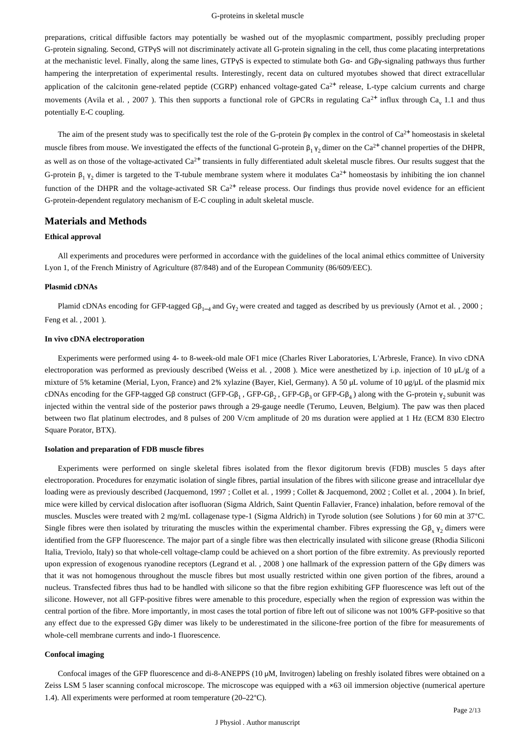preparations, critical diffusible factors may potentially be washed out of the myoplasmic compartment, possibly precluding proper G-protein signaling. Second, GTPyS will not discriminately activate all G-protein signaling in the cell, thus come placating interpretations at the mechanistic level. Finally, along the same lines, GTPγS is expected to stimulate both Gα- and Gβγ-signaling pathways thus further hampering the interpretation of experimental results. Interestingly, recent data on cultured myotubes showed that direct extracellular application of the calcitonin gene-related peptide (CGRP) enhanced voltage-gated  $Ca^{2+}$  release, L-type calcium currents and charge movements (Avila et al., 2007). This then supports a functional role of GPCRs in regulating  $Ca^{2+}$  influx through  $Ca_{v}$  1.1 and thus potentially E-C coupling.

The aim of the present study was to specifically test the role of the G-protein  $\beta\gamma$  complex in the control of Ca<sup>2+</sup> homeostasis in skeletal muscle fibres from mouse. We investigated the effects of the functional G-protein  $\beta_1 \gamma_2$  dimer on the Ca<sup>2+</sup> channel properties of the DHPR, as well as on those of the voltage-activated  $Ca^{2+}$  transients in fully differentiated adult skeletal muscle fibres. Our results suggest that the G-protein  $\beta_1$   $\gamma_2$  dimer is targeted to the T-tubule membrane system where it modulates Ca<sup>2+</sup> homeostasis by inhibiting the ion channel function of the DHPR and the voltage-activated SR  $Ca<sup>2+</sup>$  release process. Our findings thus provide novel evidence for an efficient G-protein-dependent regulatory mechanism of E-C coupling in adult skeletal muscle.

# **Materials and Methods**

# **Ethical approval**

All experiments and procedures were performed in accordance with the guidelines of the local animal ethics committee of University Lyon 1, of the French Ministry of Agriculture (87/848) and of the European Community (86/609/EEC).

## **Plasmid cDNAs**

Plamid cDNAs encoding for GFP-tagged  $G\beta_{1-4}$  and  $G\gamma_2$  were created and tagged as described by us previously (Arnot et al., 2000; Feng et al., 2001).

# **In vivo cDNA electroporation**

Experiments were performed using 4- to 8-week-old male OF1 mice (Charles River Laboratories, L'Arbresle, France). In vivo cDNA electroporation was performed as previously described (Weiss et al., 2008). Mice were anesthetized by i.p. injection of 10  $\mu$ L/g of a mixture of 5% ketamine (Merial, Lyon, France) and 2% xylazine (Bayer, Kiel, Germany). A 50 µL volume of 10 µg/µL of the plasmid mix cDNAs encoding for the GFP-tagged G $\beta$  construct (GFP-G $\beta_1$ , GFP-G $\beta_2$ , GFP-G $\beta_3$ ) along with the G-protein  $\gamma_2$  subunit was injected within the ventral side of the posterior paws through a 29-gauge needle (Terumo, Leuven, Belgium). The paw was then placed between two flat platinum electrodes, and 8 pulses of 200 V/cm amplitude of 20 ms duration were applied at 1 Hz (ECM 830 Electro Square Porator, BTX).

#### **Isolation and preparation of FDB muscle fibres**

Experiments were performed on single skeletal fibres isolated from the flexor digitorum brevis (FDB) muscles 5 days after electroporation. Procedures for enzymatic isolation of single fibres, partial insulation of the fibres with silicone grease and intracellular dye loading were as previously described (Jacquemond, 1997 ; Collet et al., 1999 ; Collet & Jacquemond, 2002 ; Collet et al., 2004 ). In brief, mice were killed by cervical dislocation after isofluoran (Sigma Aldrich, Saint Quentin Fallavier, France) inhalation, before removal of the muscles. Muscles were treated with 2 mg/mL collagenase type-1 (Sigma Aldrich) in Tyrode solution (see Solutions) for 60 min at 37°C. Single fibres were then isolated by triturating the muscles within the experimental chamber. Fibres expressing the  $G\beta_x \gamma_2$  dimers were identified from the GFP fluorescence. The major part of a single fibre was then electrically insulated with silicone grease (Rhodia Siliconi Italia, Treviolo, Italy) so that whole-cell voltage-clamp could be achieved on a short portion of the fibre extremity. As previously reported upon expression of exogenous ryanodine receptors (Legrand et al., 2008) one hallmark of the expression pattern of the Gβγ dimers was that it was not homogenous throughout the muscle fibres but most usually restricted within one given portion of the fibres, around a nucleus. Transfected fibres thus had to be handled with silicone so that the fibre region exhibiting GFP fluorescence was left out of the silicone. However, not all GFP-positive fibres were amenable to this procedure, especially when the region of expression was within the central portion of the fibre. More importantly, in most cases the total portion of fibre left out of silicone was not 100% GFP-positive so that any effect due to the expressed G $\beta y$  dimer was likely to be underestimated in the silicone-free portion of the fibre for measurements of whole-cell membrane currents and indo-1 fluorescence.

#### **Confocal imaging**

Confocal images of the GFP fluorescence and di-8-ANEPPS (10 μM, Invitrogen) labeling on freshly isolated fibres were obtained on a Zeiss LSM 5 laser scanning confocal microscope. The microscope was equipped with a ×63 oil immersion objective (numerical aperture 1.4). All experiments were performed at room temperature  $(20-22^{\circ}C)$ .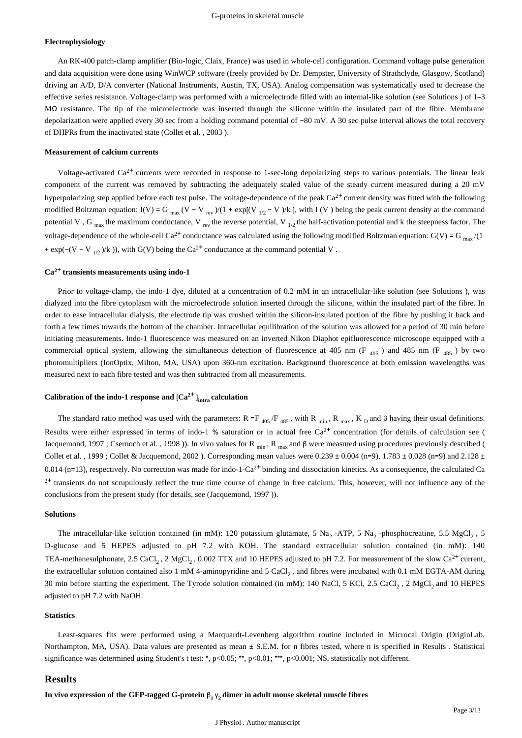## **Electrophysiology**

An RK-400 patch-clamp amplifier (Bio-logic, Claix, France) was used in whole-cell configuration. Command voltage pulse generation and data acquisition were done using WinWCP software (freely provided by Dr. Dempster, University of Strathclyde, Glasgow, Scotland) driving an A/D, D/A converter (National Instruments, Austin, TX, USA). Analog compensation was systematically used to decrease the effective series resistance. Voltage-clamp was performed with a microelectrode filled with an internal-like solution (see Solutions ) of 1–3 M $\Omega$  resistance. The tip of the microelectrode was inserted through the silicone within the insulated part of the fibre. Membrane depolarization were applied every 30 sec from a holding command potential of −80 mV. A 30 sec pulse interval allows the total recovery of DHPRs from the inactivated state (Collet et al., 2003).

#### **Measurement of calcium currents**

Voltage-activated  $Ca^{2+}$  currents were recorded in response to 1-sec-long depolarizing steps to various potentials. The linear leak component of the current was removed by subtracting the adequately scaled value of the steady current measured during a 20 mV hyperpolarizing step applied before each test pulse. The voltage-dependence of the peak  $Ca<sup>2+</sup>$  current density was fitted with the following modified Boltzman equation: I(V) = G  $_{\text{max}}$  (V – V  $_{\text{rev}}$ )/(1 + exp[(V <sub>1/2</sub> – V )/k ], with I (V) being the peak current density at the command potential V, G  $_{\text{max}}$  the maximum conductance, V  $_{\text{rev}}$  the reverse potential, V  $_{1/2}$  the half-activation potential and k the steepness factor. The voltage-dependence of the whole-cell Ca<sup>2+</sup> conductance was calculated using the following modified Boltzman equation: G(V) = G<sub>max</sub>/(1) + exp( $-(V - V_{1/2})/k$ )), with G(V) being the Ca<sup>2+</sup> conductance at the command potential V.

# Ca<sup>2+</sup> transients measurements using indo-1

Prior to voltage-clamp, the indo-1 dye, diluted at a concentration of 0.2 mM in an intracellular-like solution (see Solutions), was dialyzed into the fibre cytoplasm with the microelectrode solution inserted through the silicone, within the insulated part of the fibre. In order to ease intracellular dialysis, the electrode tip was crushed within the silicon-insulated portion of the fibre by pushing it back and forth a few times towards the bottom of the chamber. Intracellular equilibration of the solution was allowed for a period of 30 min before initiating measurements. Indo-1 fluorescence was measured on an inverted Nikon Diaphot epifluorescence microscope equipped with a commercial optical system, allowing the simultaneous detection of fluorescence at 405 nm (F<sub>405</sub>) and 485 nm (F<sub>485</sub>) by two photomultipliers (IonOptix, Milton, MA, USA) upon 360-nm excitation. Background fluorescence at both emission wavelengths was measured next to each fibre tested and was then subtracted from all measurements.

# Calibration of the indo-1 response and  ${[Ca^{2+}]}_{intra}$  calculation

The standard ratio method was used with the parameters:  $R = F_{405}/F_{485}$ , with  $R_{min}$ ,  $R_{max}$ ,  $K_D$  and  $\beta$  having their usual definitions. Results were either expressed in terms of indo-1 % saturation or in actual free  $Ca^{2+}$  concentration (for details of calculation see ( Jacquemond, 1997 ; Csernoch et al., 1998 )). In vivo values for R  $_{\text{min}}$ , R  $_{\text{max}}$  and β were measured using procedures previously described ( Collet et al., 1999; Collet & Jacquemond, 2002). Corresponding mean values were  $0.239 \pm 0.004$  (n=9), 1.783  $\pm 0.028$  (n=9) and 2.128  $\pm$ 0.014 (n=13), respectively. No correction was made for indo-1-Ca<sup>2+</sup> binding and dissociation kinetics. As a consequence, the calculated Ca <sup>2+</sup> transients do not scrupulously reflect the true time course of change in free calcium. This, however, will not influence any of the conclusions from the present study (for details, see (Jacquemond, 1997)).

## **Solutions**

The intracellular-like solution contained (in mM): 120 potassium glutamate, 5 Na, -ATP, 5 Na, -phosphocreatine, 5.5 MgCl, 5 D-glucose and 5 HEPES adjusted to pH 7.2 with KOH. The standard extracellular solution contained (in mM): 140 TEA-methanesulphonate, 2.5 CaCl<sub>2</sub>, 2 MgCl<sub>2</sub>, 0.002 TTX and 10 HEPES adjusted to pH 7.2. For measurement of the slow Ca<sup>2+</sup> current, the extracellular solution contained also 1 mM 4-aminopyridine and 5 CaCl<sub>2</sub>, and fibres were incubated with 0.1 mM EGTA-AM during 30 min before starting the experiment. The Tyrode solution contained (in mM): 140 NaCl, 5 KCl, 2.5 CaCl, 2 MgCl, and 10 HEPES adjusted to pH 7.2 with NaOH.

## **Statistics**

Least-squares fits were performed using a Marquardt-Levenberg algorithm routine included in Microcal Origin (OriginLab, Northampton, MA, USA). Data values are presented as mean  $\pm$  S.E.M. for n fibres tested, where n is specified in Results . Statistical significance was determined using Student's t test: \*,  $p<0.05$ ; \*\*,  $p<0.01$ ; \*\*\*,  $p<0.001$ ; NS, statistically not different.

# **Results**

**In vivo expression of the GFP-tagged G-protein**  $β_1 γ_2$  **dimer in adult mouse skeletal muscle fibres**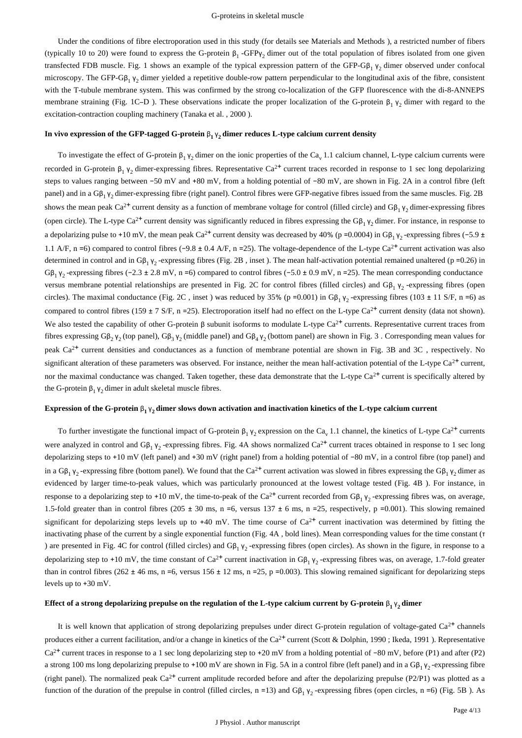Under the conditions of fibre electroporation used in this study (for details see Materials and Methods ), a restricted number of fibers (typically 10 to 20) were found to express the G-protein  $\beta_1$ -GFP $\gamma_2$  dimer out of the total population of fibres isolated from one given transfected FDB muscle. Fig. 1 shows an example of the typical expression pattern of the GFP-Gβ<sub>1</sub>  $γ_2$  dimer observed under confocal microscopy. The GFP-G $\beta_1$   $\gamma_2$  dimer yielded a repetitive double-row pattern perpendicular to the longitudinal axis of the fibre, consistent with the T-tubule membrane system. This was confirmed by the strong co-localization of the GFP fluorescence with the di-8-ANNEPS membrane straining (Fig. 1C–D). These observations indicate the proper localization of the G-protein  $\beta_1 \gamma_2$  dimer with regard to the excitation-contraction coupling machinery (Tanaka et al., 2000).

#### **In vivo expression of the GFP-tagged G-protein**  $β_1 γ_2$  **dimer reduces L-type calcium current density**

To investigate the effect of G-protein  $\beta_1 \gamma_2$  dimer on the ionic properties of the Ca<sub>v</sub> 1.1 calcium channel, L-type calcium currents were recorded in G-protein  $\beta_1$   $\gamma_2$  dimer-expressing fibres. Representative Ca<sup>2+</sup> current traces recorded in response to 1 sec long depolarizing steps to values ranging between −50 mV and +80 mV, from a holding potential of −80 mV, are shown in Fig. 2A in a control fibre (left panel) and in a  $G\beta_1 \gamma_2$  dimer-expressing fibre (right panel). Control fibres were GFP-negative fibres issued from the same muscles. Fig. 2B shows the mean peak Ca<sup>2+</sup> current density as a function of membrane voltage for control (filled circle) and G $\beta_1$   $\gamma_2$  dimer-expressing fibres (open circle). The L-type Ca<sup>2+</sup> current density was significantly reduced in fibres expressing the G $\beta_1 \gamma_2$  dimer. For instance, in response to a depolarizing pulse to +10 mV, the mean peak Ca<sup>2+</sup> current density was decreased by 40% (p = 0.0004) in G $\beta_1 \gamma_2$ -expressing fibres (-5.9 ± 1.1 A/F, n =6) compared to control fibres (-9.8  $\pm$  0.4 A/F, n = 25). The voltage-dependence of the L-type Ca<sup>2+</sup> current activation was also determined in control and in G $\beta_1 \gamma_2$ -expressing fibres (Fig. 2B, inset). The mean half-activation potential remained unaltered (p =0.26) in  $G\beta_1\gamma_2$  -expressing fibres (-2.3 ± 2.8 mV, n = 6) compared to control fibres (-5.0 ± 0.9 mV, n = 25). The mean corresponding conductance versus membrane potential relationships are presented in Fig. 2C for control fibres (filled circles) and  $Gβ_1 γ_2$ -expressing fibres (open circles). The maximal conductance (Fig. 2C, inset) was reduced by 35% ( $p = 0.001$ ) in G $\beta_1 \gamma_2$ -expressing fibres (103  $\pm$  11 S/F, n = 6) as compared to control fibres (159 ± 7 S/F, n = 25). Electroporation itself had no effect on the L-type Ca<sup>2+</sup> current density (data not shown). We also tested the capability of other G-protein  $\beta$  subunit isoforms to modulate L-type Ca<sup>2+</sup> currents. Representative current traces from fibres expressing Gβ<sub>2</sub> γ<sub>2</sub> (top panel), Gβ<sub>3</sub> γ<sub>2</sub> (middle panel) and Gβ<sub>4</sub> γ<sub>2</sub> (bottom panel) are shown in Fig. 3. Corresponding mean values for peak  $Ca<sup>2+</sup>$  current densities and conductances as a function of membrane potential are shown in Fig. 3B and 3C, respectively. No significant alteration of these parameters was observed. For instance, neither the mean half-activation potential of the L-type  $Ca^{2+}$  current, nor the maximal conductance was changed. Taken together, these data demonstrate that the L-type  $Ca^{2+}$  current is specifically altered by the G-protein  $\beta_1 \gamma_2$  dimer in adult skeletal muscle fibres.

# **Expression of the G-protein**  $β_1 γ_2$  **dimer slows down activation and inactivation kinetics of the L-type calcium current**

To further investigate the functional impact of G-protein  $\beta_1 \gamma_2$  expression on the Ca<sub>v</sub> 1.1 channel, the kinetics of L-type Ca<sup>2+</sup> currents were analyzed in control and  $G\beta_1\gamma_2$ -expressing fibres. Fig. 4A shows normalized Ca<sup>2+</sup> current traces obtained in response to 1 sec long depolarizing steps to +10 mV (left panel) and +30 mV (right panel) from a holding potential of -80 mV, in a control fibre (top panel) and in a  $G\beta_1 \gamma_2$ -expressing fibre (bottom panel). We found that the Ca<sup>2+</sup> current activation was slowed in fibres expressing the  $G\beta_1 \gamma_2$  dimer as evidenced by larger time-to-peak values, which was particularly pronounced at the lowest voltage tested (Fig. 4B ). For instance, in response to a depolarizing step to +10 mV, the time-to-peak of the Ca<sup>2+</sup> current recorded from Gβ<sub>1</sub>  $y_2$ -expressing fibres was, on average, 1.5-fold greater than in control fibres (205  $\pm$  30 ms, n = 6, versus  $137 \pm 6$  ms, n = 25, respectively, p = 0.001). This slowing remained significant for depolarizing steps levels up to  $+40$  mV. The time course of Ca<sup>2+</sup> current inactivation was determined by fitting the inactivating phase of the current by a single exponential function (Fig. 4A, bold lines). Mean corresponding values for the time constant ( $\tau$ ) are presented in Fig. 4C for control (filled circles) and  $G\beta_1 \gamma_2$ -expressing fibres (open circles). As shown in the figure, in response to a depolarizing step to +10 mV, the time constant of Ca<sup>2+</sup> current inactivation in G $\beta_1$   $\gamma_2$ -expressing fibres was, on average, 1.7-fold greater than in control fibres (262 ± 46 ms, n = 6, versus  $156 \pm 12$  ms, n = 25, p = 0.003). This slowing remained significant for depolarizing steps levels up to  $+30$  mV.

# **Effect of a strong depolarizing prepulse on the regulation of the L-type calcium current by G-protein**  $\beta_1 \gamma_2$  **dimer**

It is well known that application of strong depolarizing prepulses under direct G-protein regulation of voltage-gated  $Ca^{2+}$  channels produces either a current facilitation, and/or a change in kinetics of the Ca<sup>2+</sup> current (Scott & Dolphin, 1990; Ikeda, 1991). Representative  $Ca^{2+}$  current traces in response to a 1 sec long depolarizing step to +20 mV from a holding potential of -80 mV, before (P1) and after (P2) a strong 100 ms long depolarizing prepulse to +100 mV are shown in Fig. 5A in a control fibre (left panel) and in a G $\beta_1 \gamma_2$ -expressing fibre (right panel). The normalized peak  $Ca^{2+}$  current amplitude recorded before and after the depolarizing prepulse (P2/P1) was plotted as a function of the duration of the prepulse in control (filled circles, n = 13) and G $\beta_1 \gamma_2$ -expressing fibres (open circles, n = 6) (Fig. 5B). As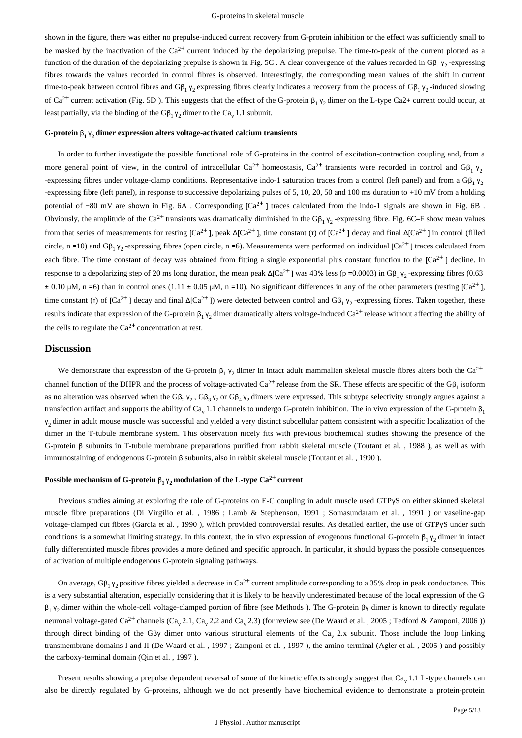shown in the figure, there was either no prepulse-induced current recovery from G-protein inhibition or the effect was sufficiently small to be masked by the inactivation of the  $Ca^{2+}$  current induced by the depolarizing prepulse. The time-to-peak of the current plotted as a function of the duration of the depolarizing prepulse is shown in Fig. 5C. A clear convergence of the values recorded in G $\beta_1$   $\gamma_2$ -expressing fibres towards the values recorded in control fibres is observed. Interestingly, the corresponding mean values of the shift in current time-to-peak between control fibres and G $\beta_1 \gamma_2$  expressing fibres clearly indicates a recovery from the process of G $\beta_1 \gamma_2$ -induced slowing of Ca<sup>2+</sup> current activation (Fig. 5D). This suggests that the effect of the G-protein  $\beta_1$   $\gamma_2$  dimer on the L-type Ca2+ current could occur, at least partially, via the binding of the  $G\beta_1 \gamma_2$  dimer to the Ca<sub>v</sub> 1.1 subunit.

# G-protein  $β_1 γ_2$  dimer expression alters voltage-activated calcium transients

In order to further investigate the possible functional role of G-proteins in the control of excitation-contraction coupling and, from a more general point of view, in the control of intracellular Ca<sup>2+</sup> homeostasis, Ca<sup>2+</sup> transients were recorded in control and G $\beta_1$   $\gamma_2$ -expressing fibres under voltage-clamp conditions. Representative indo-1 saturation traces from a control (left panel) and from a  $G\beta_1 \gamma_2$ -expressing fibre (left panel), in response to successive depolarizing pulses of 5, 10, 20, 50 and 100 ms duration to +10 mV from a holding potential of -80 mV are shown in Fig. 6A. Corresponding [Ca<sup>2+</sup>] traces calculated from the indo-1 signals are shown in Fig. 6B. Obviously, the amplitude of the Ca<sup>2+</sup> transients was dramatically diminished in the G $\beta_1 \gamma_2$ -expressing fibre. Fig. 6C–F show mean values from that series of measurements for resting  $[Ca^{2+}]$ , peak  $Δ[Ca^{2+}]$ , time constant (τ) of  $[Ca^{2+}]$  decay and final  $Δ[Ca^{2+}]$  in control (filled circle, n =10) and  $G\beta_1 \gamma_2$ -expressing fibres (open circle, n =6). Measurements were performed on individual [Ca<sup>2+</sup>] traces calculated from each fibre. The time constant of decay was obtained from fitting a single exponential plus constant function to the  $[Ca<sup>2+</sup>]$  decline. In response to a depolarizing step of 20 ms long duration, the mean peak  $Δ[Ca<sup>2+</sup>]$  was 43% less (p = 0.0003) in Gβ<sub>1</sub> γ<sub>2</sub> -expressing fibres (0.63  $\pm$  0.10 μM, n = 6) than in control ones (1.11  $\pm$  0.05 μM, n = 10). No significant differences in any of the other parameters (resting [Ca<sup>2+</sup>], time constant (τ) of [Ca<sup>2+</sup>] decay and final  $Δ[Ca<sup>2+</sup>]$ ) were detected between control and Gβ<sub>1</sub> γ<sub>2</sub> -expressing fibres. Taken together, these results indicate that expression of the G-protein  $\beta_1 \gamma_2$  dimer dramatically alters voltage-induced Ca<sup>2+</sup> release without affecting the ability of the cells to regulate the  $Ca^{2+}$  concentration at rest.

## **Discussion**

We demonstrate that expression of the G-protein  $\beta_1 \gamma_2$  dimer in intact adult mammalian skeletal muscle fibres alters both the Ca<sup>2+</sup> channel function of the DHPR and the process of voltage-activated Ca<sup>2+</sup> release from the SR. These effects are specific of the G $\beta_1$  isoform as no alteration was observed when the G $\beta_2$   $\gamma_2$ , G $\beta_3$   $\gamma_2$  or G $\beta_4$   $\gamma_2$  dimers were expressed. This subtype selectivity strongly argues against a transfection artifact and supports the ability of  $Ca<sub>v</sub> 1.1$  channels to undergo G-protein inhibition. The in vivo expression of the G-protein  $\beta_1$  $y_2$  dimer in adult mouse muscle was successful and yielded a very distinct subcellular pattern consistent with a specific localization of the dimer in the T-tubule membrane system. This observation nicely fits with previous biochemical studies showing the presence of the G-protein β subunits in T-tubule membrane preparations purified from rabbit skeletal muscle (Toutant et al., 1988), as well as with immunostaining of endogenous G-protein β subunits, also in rabbit skeletal muscle (Toutant et al., 1990).

# **Possible mechanism of G-protein**  $\beta_1 \gamma_2$  **modulation of the L-type Ca<sup>2+</sup> current**

Previous studies aiming at exploring the role of G-proteins on E-C coupling in adult muscle used GTPyS on either skinned skeletal muscle fibre preparations (Di Virgilio et al., 1986; Lamb & Stephenson, 1991; Somasundaram et al., 1991) or vaseline-gap voltage-clamped cut fibres (Garcia et al., 1990), which provided controversial results. As detailed earlier, the use of GTPγS under such conditions is a somewhat limiting strategy. In this context, the in vivo expression of exogenous functional G-protein  $\beta_1$   $\gamma_2$  dimer in intact fully differentiated muscle fibres provides a more defined and specific approach. In particular, it should bypass the possible consequences of activation of multiple endogenous G-protein signaling pathways.

On average,  $Gβ_1 γ_2$  positive fibres yielded a decrease in Ca<sup>2+</sup> current amplitude corresponding to a 35% drop in peak conductance. This is a very substantial alteration, especially considering that it is likely to be heavily underestimated because of the local expression of the G  $β<sub>1</sub> γ<sub>2</sub>$  dimer within the whole-cell voltage-clamped portion of fibre (see Methods ). The G-protein βγ dimer is known to directly regulate neuronal voltage-gated Ca<sup>2+</sup> channels (Ca<sub>y</sub> 2.1, Ca<sub>y</sub> 2.2 and Ca<sub>y</sub> 2.3) (for review see (De Waard et al., 2005; Tedford & Zamponi, 2006)) through direct binding of the Gβγ dimer onto various structural elements of the Ca<sub>v</sub> 2.x subunit. Those include the loop linking transmembrane domains I and II (De Waard et al., 1997; Zamponi et al., 1997), the amino-terminal (Agler et al., 2005) and possibly the carboxy-terminal domain ( $Q$ in et al., 1997).

Present results showing a prepulse dependent reversal of some of the kinetic effects strongly suggest that Ca<sub>v</sub> 1.1 L-type channels can also be directly regulated by G-proteins, although we do not presently have biochemical evidence to demonstrate a protein-protein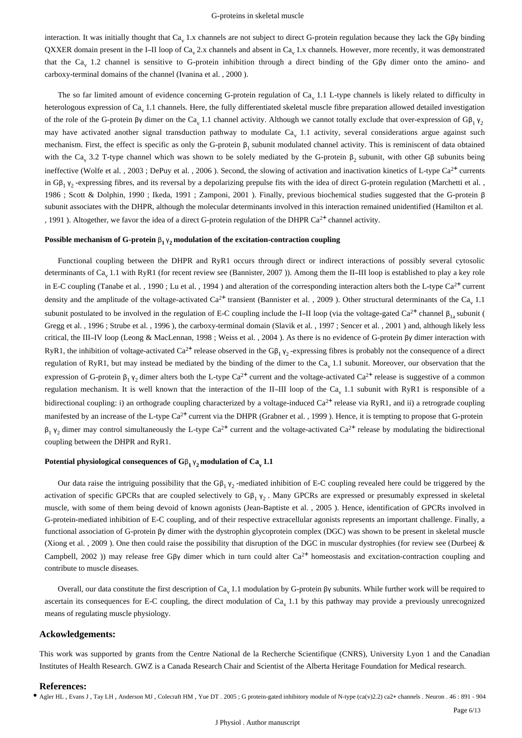interaction. It was initially thought that  $Ca<sub>v</sub>$  1.x channels are not subject to direct G-protein regulation because they lack the G $\beta\gamma$  binding QXXER domain present in the I-II loop of Ca<sub>v</sub> 2.x channels and absent in Ca<sub>v</sub> 1.x channels. However, more recently, it was demonstrated that the Ca<sub>v</sub> 1.2 channel is sensitive to G-protein inhibition through a direct binding of the G $\beta\gamma$  dimer onto the amino- and carboxy-terminal domains of the channel (Ivanina et al.  $1, 2000$ ).

The so far limited amount of evidence concerning G-protein regulation of  $Ca<sub>v</sub> 1.1$  L-type channels is likely related to difficulty in heterologous expression of  $Ca<sub>v</sub> 1.1$  channels. Here, the fully differentiated skeletal muscle fibre preparation allowed detailed investigation of the role of the G-protein  $\beta\gamma$  dimer on the Ca<sub>v</sub> 1.1 channel activity. Although we cannot totally exclude that over-expression of G $\beta_1 \gamma_2$ may have activated another signal transduction pathway to modulate Ca. 1.1 activity, several considerations argue against such mechanism. First, the effect is specific as only the G-protein  $\beta_1$  subunit modulated channel activity. This is reminiscent of data obtained with the Ca<sub>v</sub> 3.2 T-type channel which was shown to be solely mediated by the G-protein  $\beta_2$  subunit, with other G $\beta$  subunits being ineffective (Wolfe et al., 2003; DePuy et al., 2006). Second, the slowing of activation and inactivation kinetics of L-type Ca<sup>2+</sup> currents in G $\beta_1$   $\gamma_2$ -expressing fibres, and its reversal by a depolarizing prepulse fits with the idea of direct G-protein regulation (Marchetti et al., 1986 ; Scott & Dolphin, 1990 ; Ikeda, 1991 ; Zamponi, 2001 ). Finally, previous biochemical studies suggested that the G-protein β subunit associates with the DHPR, although the molecular determinants involved in this interaction remained unidentified (Hamilton et al. , 1991 ). Altogether, we favor the idea of a direct G-protein regulation of the DHPR Ca<sup>2+</sup> channel activity.

#### **Possible mechanism of G-protein**  $\beta_1 \gamma_2$  **modulation of the excitation-contraction coupling**

Functional coupling between the DHPR and RyR1 occurs through direct or indirect interactions of possibly several cytosolic determinants of Ca<sub>v</sub> 1.1 with RyR1 (for recent review see (Bannister, 2007)). Among them the II-III loop is established to play a key role in E-C coupling (Tanabe et al., 1990; Lu et al., 1994) and alteration of the corresponding interaction alters both the L-type  $Ca^{2+}$  current density and the amplitude of the voltage-activated  $Ca^{2+}$  transient (Bannister et al., 2009). Other structural determinants of the Ca<sub>y</sub> 1.1 subunit postulated to be involved in the regulation of E-C coupling include the I-II loop (via the voltage-gated Ca<sup>2+</sup> channel  $\beta_{1a}$  subunit ( Gregg et al., 1996; Strube et al., 1996), the carboxy-terminal domain (Slavik et al., 1997; Sencer et al., 2001) and, although likely less critical, the III-IV loop (Leong & MacLennan, 1998; Weiss et al., 2004). As there is no evidence of G-protein βγ dimer interaction with RyR1, the inhibition of voltage-activated Ca<sup>2+</sup> release observed in the Gβ<sub>1</sub> γ<sub>2</sub>-expressing fibres is probably not the consequence of a direct regulation of RyR1, but may instead be mediated by the binding of the dimer to the  $Ca<sub>v</sub> 1.1$  subunit. Moreover, our observation that the expression of G-protein  $\beta_1 \gamma_2$  dimer alters both the L-type Ca<sup>2+</sup> current and the voltage-activated Ca<sup>2+</sup> release is suggestive of a common regulation mechanism. It is well known that the interaction of the II-III loop of the Ca<sub>v</sub> 1.1 subunit with RyR1 is responsible of a bidirectional coupling: i) an orthograde coupling characterized by a voltage-induced  $Ca^{2+}$  release via RyR1, and ii) a retrograde coupling manifested by an increase of the L-type Ca<sup>2+</sup> current via the DHPR (Grabner et al., 1999). Hence, it is tempting to propose that G-protein  $\beta_1$   $\gamma_2$  dimer may control simultaneously the L-type Ca<sup>2+</sup> current and the voltage-activated Ca<sup>2+</sup> release by modulating the bidirectional coupling between the DHPR and RyR1.

#### **Potential physiological consequences of**  $G_{\beta_1} \gamma_2$  **modulation of**  $Ca_y 1.1$

Our data raise the intriguing possibility that the G $\beta_1$   $\gamma_2$ -mediated inhibition of E-C coupling revealed here could be triggered by the activation of specific GPCRs that are coupled selectively to  $G\beta_1$   $\gamma_2$ . Many GPCRs are expressed or presumably expressed in skeletal muscle, with some of them being devoid of known agonists (Jean-Baptiste et al., 2005). Hence, identification of GPCRs involved in G-protein-mediated inhibition of E-C coupling, and of their respective extracellular agonists represents an important challenge. Finally, a functional association of G-protein βγ dimer with the dystrophin glycoprotein complex (DGC) was shown to be present in skeletal muscle (Xiong et al., 2009). One then could raise the possibility that disruption of the DGC in muscular dystrophies (for review see (Durbeej  $\&$ Campbell, 2002 )) may release free Gβγ dimer which in turn could alter  $Ca^{2+}$  homeostasis and excitation-contraction coupling and contribute to muscle diseases.

Overall, our data constitute the first description of Ca<sub>v</sub> 1.1 modulation by G-protein βγ subunits. While further work will be required to ascertain its consequences for E-C coupling, the direct modulation of  $Ca<sub>v</sub> 1.1$  by this pathway may provide a previously unrecognized means of regulating muscle physiology.

# **Ackowledgements:**

This work was supported by grants from the Centre National de la Recherche Scientifique (CNRS), University Lyon 1 and the Canadian Institutes of Health Research. GWZ is a Canada Research Chair and Scientist of the Alberta Heritage Foundation for Medical research.

#### **References:**

• Agler HL, Evans J, Tay LH, Anderson MJ, Colecraft HM, Yue DT, 2005; G protein-gated inhibitory module of N-type (ca(v)2.2) ca2+ channels. Neuron . 46: 891 - 904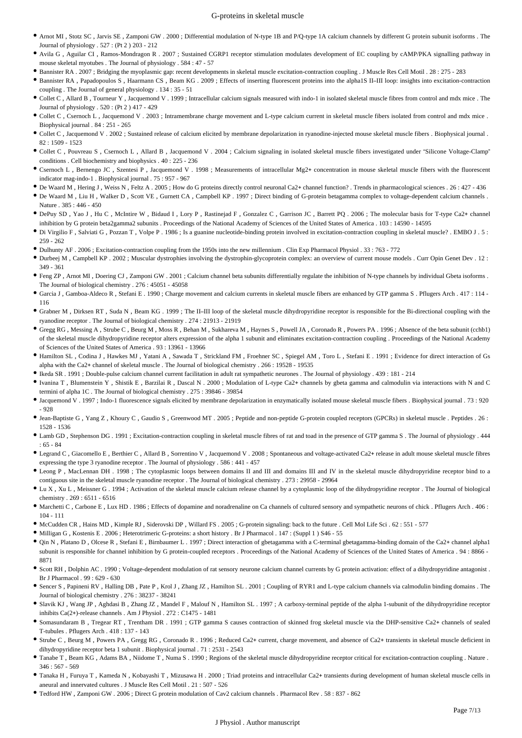- Arnot MI , Stotz SC , Jarvis SE , Zamponi GW . 2000 ; Differential modulation of N-type 1B and P/Q -type 1A calcium channels by different G protein subunit isoforms . The Journal of physiology . 527 : (Pt 2 ) 203 - 212
- Avila G, Aguilar CI, Ramos-Mondragon R. 2007; Sustained CGRP1 receptor stimulation modulates development of EC coupling by cAMP/PKA signalling pathway in mouse skeletal myotubes . The Journal of physiology . 584 : 47 - 57
- Bannister RA . 2007 ; Bridging the myoplasmic gap: recent developments in skeletal muscle excitation-contraction coupling . J Muscle Res Cell Motil . 28 : 275 283
- Bannister RA , Papadopoulos S , Haarmann CS , Beam KG . 2009 ; Effects of inserting fluorescent proteins into the alpha1S II-III loop: insights into excitation-contraction coupling . The Journal of general physiology . 134 : 35 - 51
- Collet C , Allard B , Tourneur Y , Jacquemond V . 1999 ; Intracellular calcium signals measured with indo-1 in isolated skeletal muscle fibres from control and mdx mice . The Journal of physiology . 520 : (Pt 2 ) 417 - 429
- Collet C, Csernoch L, Jacquemond V. 2003; Intramembrane charge movement and L-type calcium current in skeletal muscle fibers isolated from control and mdx mice. Biophysical journal . 84 : 251 - 265
- Collet C, Jacquemond V . 2002; Sustained release of calcium elicited by membrane depolarization in ryanodine-injected mouse skeletal muscle fibers . Biophysical journal . 82 : 1509 - 1523
- Collet C, Pouvreau S, Csernoch L, Allard B, Jacquemond V. 2004; Calcium signaling in isolated skeletal muscle fibers investigated under "Silicone Voltage-Clamp" conditions . Cell biochemistry and biophysics . 40 : 225 - 236
- Csernoch L, Bernengo JC, Szentesi P, Jacquemond V, 1998; Measurements of intracellular Mg2+ concentration in mouse skeletal muscle fibers with the fluorescent indicator mag-indo-1 . Biophysical journal . 75 : 957 - 967
- De Waard M , Hering J , Weiss N , Feltz A . 2005 ; How do G proteins directly control neuronal Ca2 channel function? + . Trends in pharmacological sciences . 26 : 427 436
- De Waard M, Liu H, Walker D, Scott VE, Gurnett CA, Campbell KP . 1997; Direct binding of G-protein betagamma complex to voltage-dependent calcium channels . Nature . 385 : 446 - 450
- $\bullet$  DePuy SD, Yao J, Hu C, McIntire W, Bidaud I, Lory P, Rastinejad F, Gonzalez C, Garrison JC, Barrett PQ. 2006; The molecular basis for T-type Ca2+ channel inhibition by G protein beta2gamma2 subunits . Proceedings of the National Academy of Sciences of the United States of America . 103 : 14590 - 14595
- $\bullet$  Di Virgilio F , Salviati G , Pozzan T , Volpe P . 1986 ; Is a guanine nucleotide-binding protein involved in excitation-contraction coupling in skeletal muscle? . EMBO J . 5 : 259 - 262
- Dulhunty AF . 2006 ; Excitation-contraction coupling from the 1950s into the new millennium . Clin Exp Pharmacol Physiol . 33 : 763 772
- \* Durbeej M , Campbell KP . 2002 ; Muscular dystrophies involving the dystrophin-glycoprotein complex: an overview of current mouse models . Curr Opin Genet Dev . 12 : 349 - 361
- Feng ZP , Arnot MI , Doering CJ , Zamponi GW . 2001 ; Calcium channel beta subunits differentially regulate the inhibition of N-type channels by individual Gbeta isoforms . The Journal of biological chemistry . 276 : 45051 - 45058
- · Garcia J, Gamboa-Aldeco R, Stefani E. 1990; Charge movement and calcium currents in skeletal muscle fibers are enhanced by GTP gamma S. Pflugers Arch. 417: 114 -116
- $\bullet$  Grabner M , Dirksen RT , Suda N , Beam KG . 1999 ; The II-III loop of the skeletal muscle dihydropyridine receptor is responsible for the Bi-directional coupling with the ryanodine receptor . The Journal of biological chemistry . 274 : 21913 - 21919
- Gregg RG , Messing A , Strube C , Beurg M , Moss R , Behan M , Sukhareva M , Haynes S , Powell JA , Coronado R , Powers PA . 1996 ; Absence of the beta subunit (cchb1) of the skeletal muscle dihydropyridine receptor alters expression of the alpha 1 subunit and eliminates excitation-contraction coupling . Proceedings of the National Academy of Sciences of the United States of America . 93 : 13961 - 13966
- Hamilton SL , Codina J , Hawkes MJ , Yatani A , Sawada T , Strickland FM , Froehner SC , Spiegel AM , Toro L , Stefani E . 1991 ; Evidence for direct interaction of Gs alpha with the Ca2+ channel of skeletal muscle . The Journal of biological chemistry . 266 : 19528 - 19535
- Ikeda SR . 1991 ; Double-pulse calcium channel current facilitation in adult rat sympathetic neurones . The Journal of physiology . 439 : 181 214
- Ivanina T, Blumenstein Y, Shistik E, Barzilai R, Dascal N. 2000; Modulation of L-type Ca2+ channels by gbeta gamma and calmodulin via interactions with N and C termini of alpha 1C . The Journal of biological chemistry . 275 : 39846 - 39854
- Jacquemond V . 1997 ; Indo-1 fluorescence signals elicited by membrane depolarization in enzymatically isolated mouse skeletal muscle fibers . Biophysical journal . 73 : 920 - 928
- Jean-Baptiste G, Yang Z, Khoury C, Gaudio S, Greenwood MT. 2005; Peptide and non-peptide G-protein coupled receptors (GPCRs) in skeletal muscle . Peptides . 26 : 1528 - 1536
- Lamb GD , Stephenson DG . 1991 ; Excitation-contraction coupling in skeletal muscle fibres of rat and toad in the presence of GTP gamma S . The Journal of physiology . 444 : 65 - 84
- $\bullet$  Legrand C, Giacomello E, Berthier C, Allard B, Sorrentino V, Jacquemond V. 2008; Spontaneous and voltage-activated Ca2+ release in adult mouse skeletal muscle fibres expressing the type 3 ryanodine receptor . The Journal of physiology . 586 : 441 - 457
- Leong P , MacLennan DH . 1998 ; The cytoplasmic loops between domains II and III and domains III and IV in the skeletal muscle dihydropyridine receptor bind to a contiguous site in the skeletal muscle ryanodine receptor . The Journal of biological chemistry . 273 : 29958 - 29964
- Lu X, Xu L, Meissner G. 1994; Activation of the skeletal muscle calcium release channel by a cytoplasmic loop of the dihydropyridine receptor. The Journal of biological chemistry . 269 : 6511 - 6516
- Marchetti C , Carbone E , Lux HD . 1986 ; Effects of dopamine and noradrenaline on Ca channels of cultured sensory and sympathetic neurons of chick . Pflugers Arch . 406 : 104 - 111
- McCudden CR , Hains MD , Kimple RJ , Siderovski DP , Willard FS . 2005 ; G-protein signaling: back to the future . Cell Mol Life Sci . 62 : 551 577
- Milligan G , Kostenis E . 2006 ; Heterotrimeric G-proteins: a short history . Br J Pharmacol . 147 : (Suppl 1 ) S46 55
- Qin N, Platano D, Olcese R, Stefani E, Birnbaumer L. 1997; Direct interaction of gbetagamma with a C-terminal gbetagamma-binding domain of the Ca2+ channel alpha1 subunit is responsible for channel inhibition by G protein-coupled receptors . Proceedings of the National Academy of Sciences of the United States of America . 94 : 8866 -8871
- Scott RH , Dolphin AC . 1990 ; Voltage-dependent modulation of rat sensory neurone calcium channel currents by G protein activation: effect of a dihydropyridine antagonist . Br J Pharmacol . 99 : 629 - 630
- Sencer S , Papineni RV , Halling DB , Pate P , Krol J , Zhang JZ , Hamilton SL . 2001 ; Coupling of RYR1 and L-type calcium channels via calmodulin binding domains . The Journal of biological chemistry . 276 : 38237 - 38241
- Slavik KJ, Wang JP, Aghdasi B, Zhang JZ, Mandel F, Malouf N, Hamilton SL. 1997; A carboxy-terminal peptide of the alpha 1-subunit of the dihydropyridine receptor inhibits  $Ca(2+)$ -release channels  $\Delta$  . Am J Physiol  $\Delta$  272 : C1475 - 1481
- Somasundaram B, Tregear RT, Trentham DR. 1991; GTP gamma S causes contraction of skinned frog skeletal muscle via the DHP-sensitive Ca2+ channels of sealed T-tubules . Pflugers Arch . 418 : 137 - 143
- Strube C, Beurg M, Powers PA, Gregg RG, Coronado R. 1996; Reduced Ca2+ current, charge movement, and absence of Ca2+ transients in skeletal muscle deficient in dihydropyridine receptor beta 1 subunit . Biophysical journal . 71 : 2531 - 2543
- Tanabe T, Beam KG, Adams BA, Niidome T, Numa S. 1990; Regions of the skeletal muscle dihydropyridine receptor critical for excitation-contraction coupling. Nature. 346 : 567 - 569
- Tanaka H, Furuya T, Kameda N, Kobayashi T, Mizusawa H. 2000; Triad proteins and intracellular Ca2+ transients during development of human skeletal muscle cells in aneural and innervated cultures . J Muscle Res Cell Motil . 21 : 507 - 526
- Tedford HW , Zamponi GW . 2006 ; Direct G protein modulation of Cav2 calcium channels . Pharmacol Rev . 58 : 837 862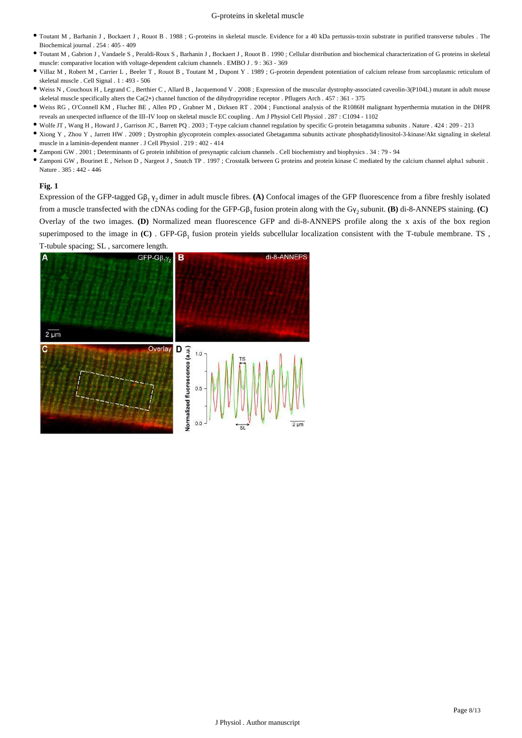- Toutant M , Barhanin J , Bockaert J , Rouot B . 1988 ; G-proteins in skeletal muscle. Evidence for a 40 kDa pertussis-toxin substrate in purified transverse tubules . The Biochemical journal . 254 : 405 - 409
- $\bullet$  Toutant M , Gabrion J , Vandaele S , Peraldi-Roux S , Barhanin J , Bockaert J , Rouot B . 1990 ; Cellular distribution and biochemical characterization of G proteins in skeletal muscle: comparative location with voltage-dependent calcium channels . EMBO J . 9 : 363 - 369
- Villaz M , Robert M , Carrier L , Beeler T , Rouot B , Toutant M , Dupont Y . 1989 ; G-protein dependent potentiation of calcium release from sarcoplasmic reticulum of skeletal muscle . Cell Signal . 1 : 493 - 506
- Weiss N , Couchoux H , Legrand C , Berthier C , Allard B , Jacquemond V . 2008 ; Expression of the muscular dystrophy-associa ted caveolin-3(P104L) mutant in adult mouse skeletal muscle specifically alters the Ca(2+) channel function of the dihydropyridine receptor . Pflugers Arch .  $457 : 361 - 375$
- Weiss RG, O'Connell KM, Flucher BE, Allen PD, Grabner M, Dirksen RT. 2004; Functional analysis of the R1086H malignant hyperthermia mutation in the DHPR reveals an unexpected influence of the III IV loop on skeletal muscle EC coupling – . Am J Physiol Cell Physiol . 287 : C1094 - 1102
- Wolfe JT , Wang H , Howard J , Garrison JC , Barrett PQ . 2003 ; T-type calcium channel regulation by specific G-protein betagamma subunits . Nature . 424 : 209 213
- Xiong Y , Zhou Y , Jarrett HW . 2009 ; Dystrophin glycoprotein complex-associated G betagamma subunits activate phosphatidylinositol-3-kinase/Akt signaling in skeletal muscle in a laminin-dependent manner . J Cell Physiol . 219 : 402 - 414
- Zamponi GW . 2001 ; Determinants of G protein inhibition of presynaptic calcium channels . Cell biochemistry and biophysics . 34 : 79 94
- Zamponi GW, Bourinet E, Nelson D, Nargeot J, Snutch TP. 1997; Crosstalk between G proteins and protein kinase C mediated by the calcium channel alpha1 subunit. Nature . 385 : 442 - 446

# **Fig. 1**

Expression of the GFP-tagged G $\beta_1 \gamma_2$  dimer in adult muscle fibres. (A) Confocal images of the GFP fluorescence from a fibre freshly isolated from a muscle transfected with the cDNAs coding for the GFP-Gβ<sub>1</sub> fusion protein along with the Gγ<sub>2</sub> subunit. (**B**) di-8-ANNEPS staining. (**C**) Overlay of the two images. (D) Normalized mean fluorescence GFP and di-8-ANNEPS profile along the x axis of the box region superimposed to the image in  $(C)$ . GFP-G $\beta_1$  fusion protein yields subcellular localization consistent with the T-tubule membrane. TS, T-tubule spacing; SL, sarcomere length.

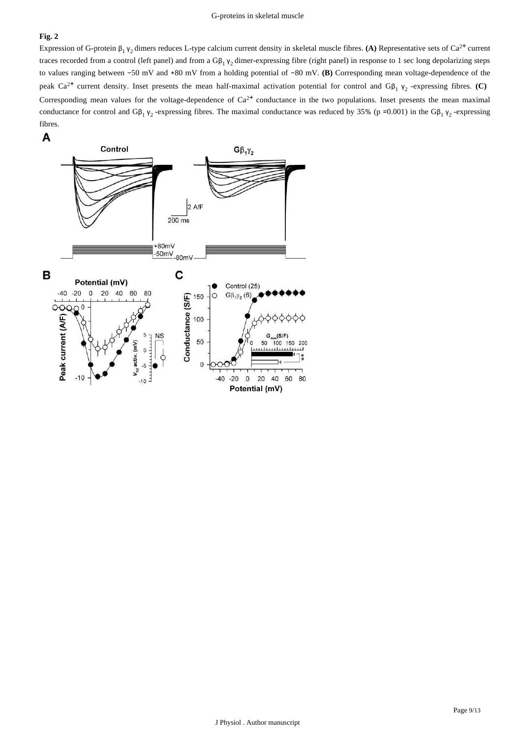# **Fig. 2**

Expression of G-protein  $\beta_1 \gamma_2$  dimers reduces L-type calcium current density in skeletal muscle fibres. (A) Representative sets of Ca<sup>2+</sup> current traces recorded from a control (left panel) and from a  $G\beta_1$   $y_2$  dimer-expressing fibre (right panel) in response to 1 sec long depolarizing steps to values ranging between -50 mV and +80 mV from a holding potential of -80 mV. (B) Corresponding mean voltage-dependence of the peak Ca<sup>2+</sup> current density. Inset presents the mean half-maximal activation potential for control and Gβ<sub>1</sub> γ<sub>2</sub> -expressing fibres. (C) Corresponding mean values for the voltage-dependence of  $Ca^{2+}$  conductance in the two populations. Inset presents the mean maximal conductance for control and  $G\beta_1 \gamma_2$ -expressing fibres. The maximal conductance was reduced by 35% (p = 0.001) in the  $G\beta_1 \gamma_2$ -expressing fibres.

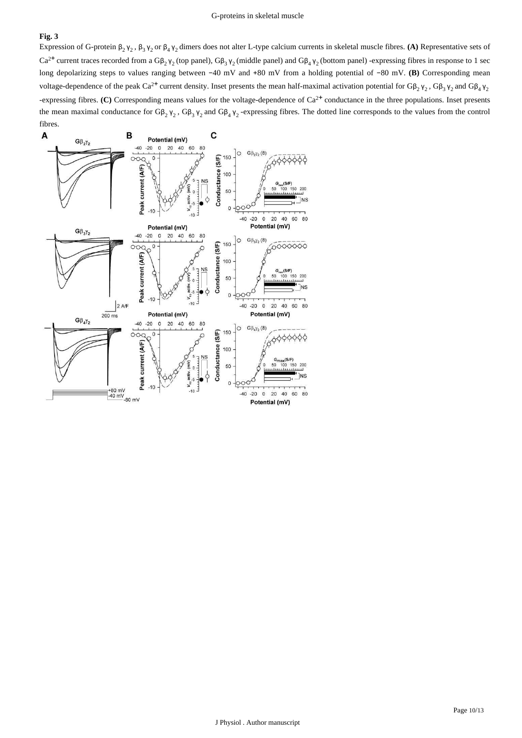# **Fig. 3**

Expression of G-protein  $\beta_2 \gamma_2$ ,  $\beta_3 \gamma_2$  or  $\beta_4 \gamma_2$  dimers does not alter L-type calcium currents in skeletal muscle fibres. (A) Representative sets of  $Ca^{2+}$  current traces recorded from a G $\beta_2$   $\gamma_2$  (top panel), G $\beta_3$   $\gamma_2$  (middle panel) and G $\beta_4$   $\gamma_2$  (bottom panel) -expressing fibres in response to 1 sec long depolarizing steps to values ranging between -40 mV and +80 mV from a holding potential of -80 mV. (B) Corresponding mean voltage-dependence of the peak Ca<sup>2+</sup> current density. Inset presents the mean half-maximal activation potential for G $\beta_2$   $\gamma_2$ , G $\beta_3$   $\gamma_2$  and G $\beta_4$   $\gamma_2$ -expressing fibres. (C) Corresponding means values for the voltage-dependence of  $Ca^{2+}$  conductance in the three populations. Inset presents the mean maximal conductance for  $G\beta_2$   $\gamma_2$ ,  $G\beta_3$   $\gamma_2$  and  $G\beta_4$   $\gamma_2$ -expressing fibres. The dotted line corresponds to the values from the control

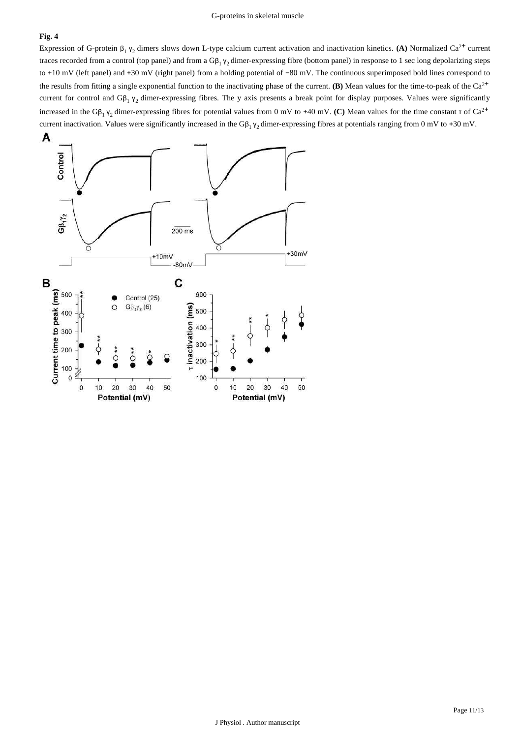# **Fig. 4**

Expression of G-protein  $\beta_1 \gamma_2$  dimers slows down L-type calcium current activation and inactivation kinetics. (A) Normalized Ca<sup>2+</sup> current traces recorded from a control (top panel) and from a  $Gβ_1 γ_2$  dimer-expressing fibre (bottom panel) in response to 1 sec long depolarizing steps to +10 mV (left panel) and +30 mV (right panel) from a holding potential of −80 mV. The continuous superimposed bold lines correspond to the results from fitting a single exponential function to the inactivating phase of the current. (B) Mean values for the time-to-peak of the  $Ca^{2+}$ current for control and  $G\beta_1$   $\gamma_2$  dimer-expressing fibres. The y axis presents a break point for display purposes. Values were significantly increased in the G $\beta_1$   $\gamma_2$  dimer-expressing fibres for potential values from 0 mV to +40 mV. (C) Mean values for the time constant  $\tau$  of Ca<sup>2+</sup> current inactivation. Values were significantly increased in the  $G\beta_1 \gamma_2$  dimer-expressing fibres at potentials ranging from 0 mV to +30 mV.

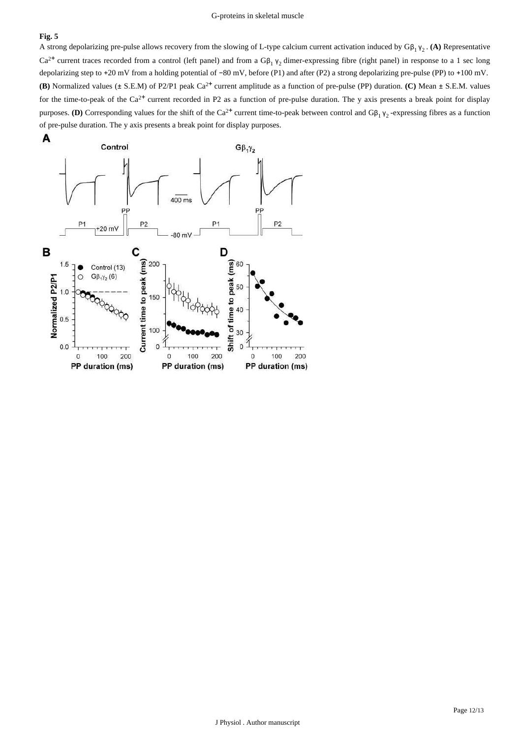# **Fig. 5**

A strong depolarizing pre-pulse allows recovery from the slowing of L-type calcium current activation induced by  $G\beta_1 \gamma_2$ . (A) Representative  $Ca^{2+}$  current traces recorded from a control (left panel) and from a G $\beta_1 \gamma_2$  dimer-expressing fibre (right panel) in response to a 1 sec long depolarizing step to +20 mV from a holding potential of -80 mV, before (P1) and after (P2) a strong depolarizing pre-pulse (PP) to +100 mV. **(B)** Normalized values ( $\pm$  S.E.M) of P2/P1 peak Ca<sup>2+</sup> current amplitude as a function of pre-pulse (PP) duration. (C) Mean  $\pm$  S.E.M. values for the time-to-peak of the  $Ca^{2+}$  current recorded in P2 as a function of pre-pulse duration. The y axis presents a break point for display purposes. (D) Corresponding values for the shift of the Ca<sup>2+</sup> current time-to-peak between control and  $G\beta_1 \gamma_2$ -expressing fibres as a function of pre-pulse duration. The y axis presents a break point for display purposes.